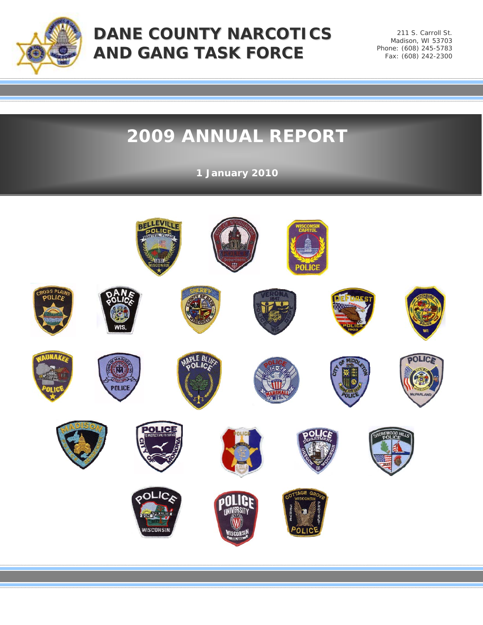

211 S. Carroll St. Madison, WI 53703 Phone: (608) 245-5783 Fax: (608) 242-2300

# **2009 ANNUAL REPORT**

**1 January 2010**

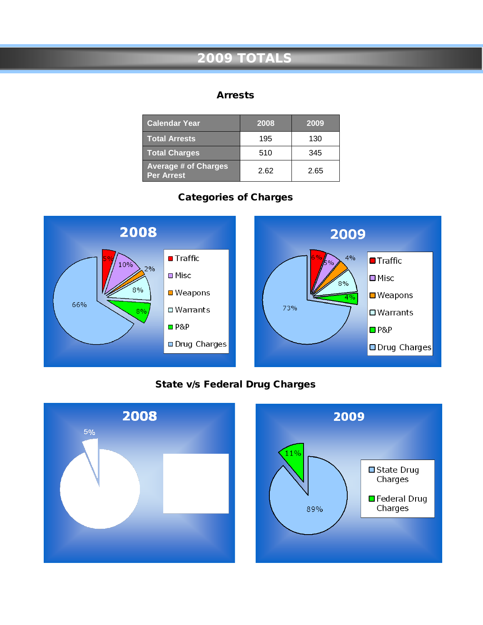# **2009 TOTALS**

#### Arrests

| <b>Calendar Year</b>                             | 2008 | 2009 |
|--------------------------------------------------|------|------|
| <b>Total Arrests</b>                             | 195  | 130  |
| <b>Total Charges</b>                             | 510  | 345  |
| <b>Average # of Charges</b><br><b>Per Arrest</b> | 2.62 | 2.65 |

## Categories of Charges



#### State v/s Federal Drug Charges



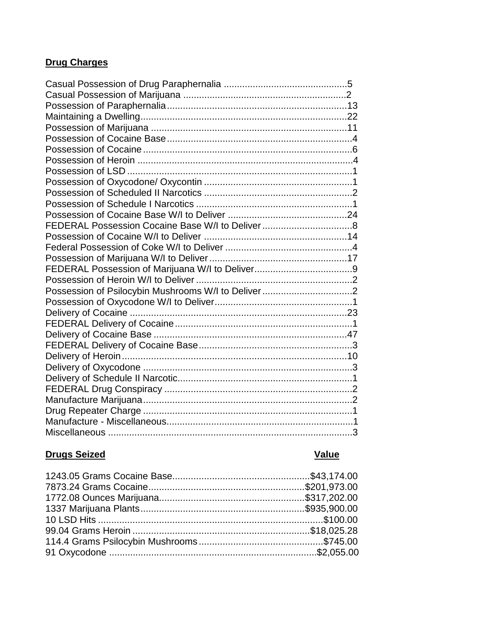#### **Drug Charges**

# **Drugs Seized**

# Value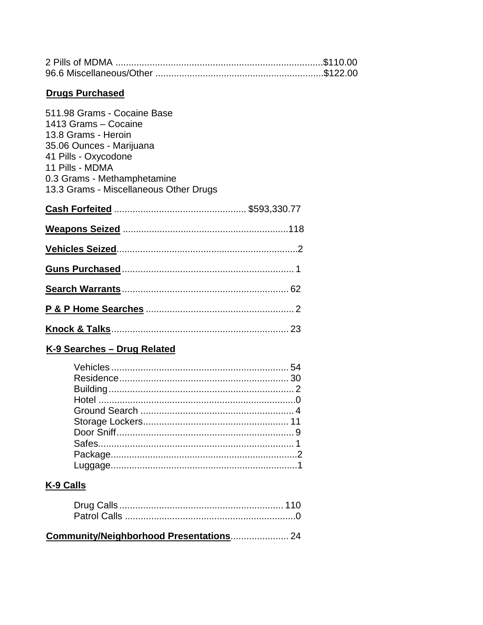| <b>Drugs Purchased</b>                                                                                                                                                                                                     |  |
|----------------------------------------------------------------------------------------------------------------------------------------------------------------------------------------------------------------------------|--|
| 511.98 Grams - Cocaine Base<br>1413 Grams - Cocaine<br>13.8 Grams - Heroin<br>35.06 Ounces - Marijuana<br>41 Pills - Oxycodone<br>11 Pills - MDMA<br>0.3 Grams - Methamphetamine<br>13.3 Grams - Miscellaneous Other Drugs |  |
|                                                                                                                                                                                                                            |  |
|                                                                                                                                                                                                                            |  |
|                                                                                                                                                                                                                            |  |
|                                                                                                                                                                                                                            |  |
|                                                                                                                                                                                                                            |  |
|                                                                                                                                                                                                                            |  |
|                                                                                                                                                                                                                            |  |

## K-9 Searches - Drug Related

## K-9 Calls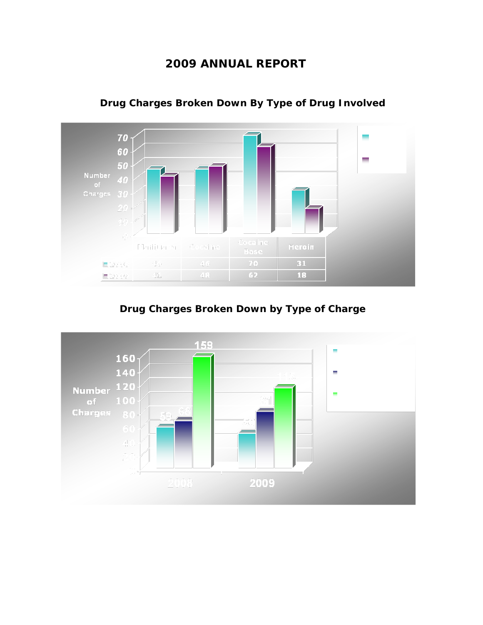## **2009 ANNUAL REPORT**



**Drug Charges Broken Down By Type of Drug Involved**

**Drug Charges Broken Down by Type of Charge**

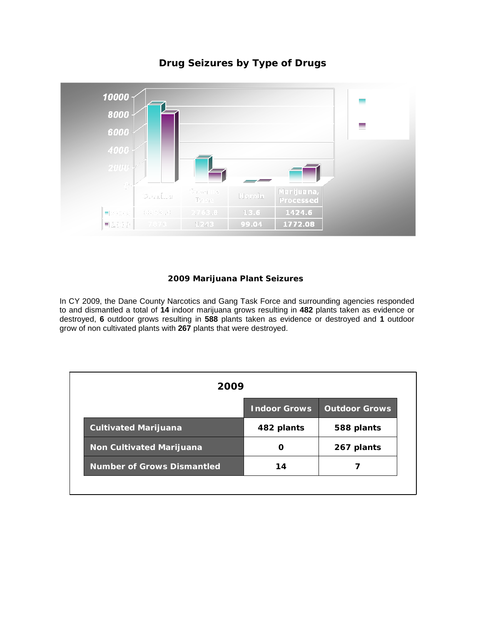

#### **Drug Seizures by Type of Drugs**

#### **2009 Marijuana Plant Seizures**

In CY 2009, the Dane County Narcotics and Gang Task Force and surrounding agencies responded to and dismantled a total of **14** indoor marijuana grows resulting in **482** plants taken as evidence or destroyed, **6** outdoor grows resulting in **588** plants taken as evidence or destroyed and **1** outdoor grow of non cultivated plants with **267** plants that were destroyed.

| 2009                              |                     |                      |
|-----------------------------------|---------------------|----------------------|
|                                   | <b>Indoor Grows</b> | <b>Outdoor Grows</b> |
| <b>Cultivated Marijuana</b>       | 482 plants          | 588 plants           |
| <b>Non Cultivated Marijuana</b>   | O                   | 267 plants           |
| <b>Number of Grows Dismantled</b> | 14                  |                      |